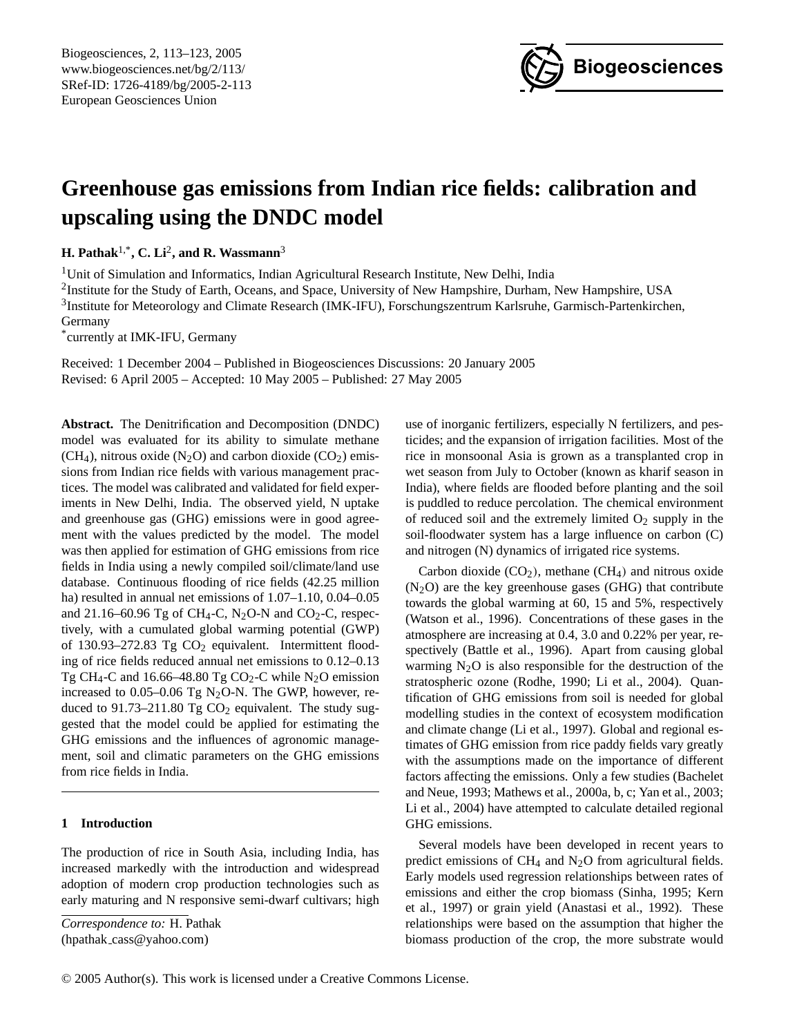

# **Greenhouse gas emissions from Indian rice fields: calibration and upscaling using the DNDC model**

**H. Pathak**1,\***, C. Li**<sup>2</sup> **, and R. Wassmann**<sup>3</sup>

<sup>1</sup>Unit of Simulation and Informatics, Indian Agricultural Research Institute, New Delhi, India <sup>2</sup>Institute for the Study of Earth, Oceans, and Space, University of New Hampshire, Durham, New Hampshire, USA <sup>3</sup>Institute for Meteorology and Climate Research (IMK-IFU), Forschungszentrum Karlsruhe, Garmisch-Partenkirchen, Germany

\* currently at IMK-IFU, Germany

Received: 1 December 2004 – Published in Biogeosciences Discussions: 20 January 2005 Revised: 6 April 2005 – Accepted: 10 May 2005 – Published: 27 May 2005

**Abstract.** The Denitrification and Decomposition (DNDC) model was evaluated for its ability to simulate methane  $(CH<sub>4</sub>)$ , nitrous oxide (N<sub>2</sub>O) and carbon dioxide (CO<sub>2</sub>) emissions from Indian rice fields with various management practices. The model was calibrated and validated for field experiments in New Delhi, India. The observed yield, N uptake and greenhouse gas (GHG) emissions were in good agreement with the values predicted by the model. The model was then applied for estimation of GHG emissions from rice fields in India using a newly compiled soil/climate/land use database. Continuous flooding of rice fields (42.25 million ha) resulted in annual net emissions of  $1.07-1.10$ ,  $0.04-0.05$ and 21.16–60.96 Tg of CH<sub>4</sub>-C, N<sub>2</sub>O-N and CO<sub>2</sub>-C, respectively, with a cumulated global warming potential (GWP) of 130.93–272.83 Tg  $CO<sub>2</sub>$  equivalent. Intermittent flooding of rice fields reduced annual net emissions to 0.12–0.13 Tg CH<sub>4</sub>-C and 16.66–48.80 Tg CO<sub>2</sub>-C while N<sub>2</sub>O emission increased to 0.05–0.06 Tg  $N_2O-N$ . The GWP, however, reduced to  $91.73-211.80$  Tg CO<sub>2</sub> equivalent. The study suggested that the model could be applied for estimating the GHG emissions and the influences of agronomic management, soil and climatic parameters on the GHG emissions from rice fields in India.

## **1 Introduction**

The production of rice in South Asia, including India, has increased markedly with the introduction and widespread adoption of modern crop production technologies such as early maturing and N responsive semi-dwarf cultivars; high

<span id="page-0-0"></span>*Correspondence to:* H. Pathak (hpathak cass@yahoo.com)

use of inorganic fertilizers, especially N fertilizers, and pesticides; and the expansion of irrigation facilities. Most of the rice in monsoonal Asia is grown as a transplanted crop in wet season from July to October (known as kharif season in India), where fields are flooded before planting and the soil is puddled to reduce percolation. The chemical environment of reduced soil and the extremely limited  $O_2$  supply in the soil-floodwater system has a large influence on carbon (C) and nitrogen (N) dynamics of irrigated rice systems.

Carbon dioxide  $(CO_2)$ , methane  $(CH_4)$  and nitrous oxide  $(N_2O)$  are the key greenhouse gases (GHG) that contribute towards the global warming at 60, 15 and 5%, respectively (Watson et al., 1996). Concentrations of these gases in the atmosphere are increasing at 0.4, 3.0 and 0.22% per year, respectively (Battle et al., 1996). Apart from causing global warming  $N_2O$  is also responsible for the destruction of the stratospheric ozone (Rodhe, 1990; Li et al., 2004). Quantification of GHG emissions from soil is needed for global modelling studies in the context of ecosystem modification and climate change (Li et al., 1997). Global and regional estimates of GHG emission from rice paddy fields vary greatly with the assumptions made on the importance of different factors affecting the emissions. Only a few studies (Bachelet and Neue, 1993; Mathews et al., 2000a, b, c; Yan et al., 2003; Li et al., 2004) have attempted to calculate detailed regional GHG emissions.

Several models have been developed in recent years to predict emissions of  $CH_4$  and  $N_2O$  from agricultural fields. Early models used regression relationships between rates of emissions and either the crop biomass (Sinha, 1995; Kern et al., 1997) or grain yield (Anastasi et al., 1992). These relationships were based on the assumption that higher the biomass production of the crop, the more substrate would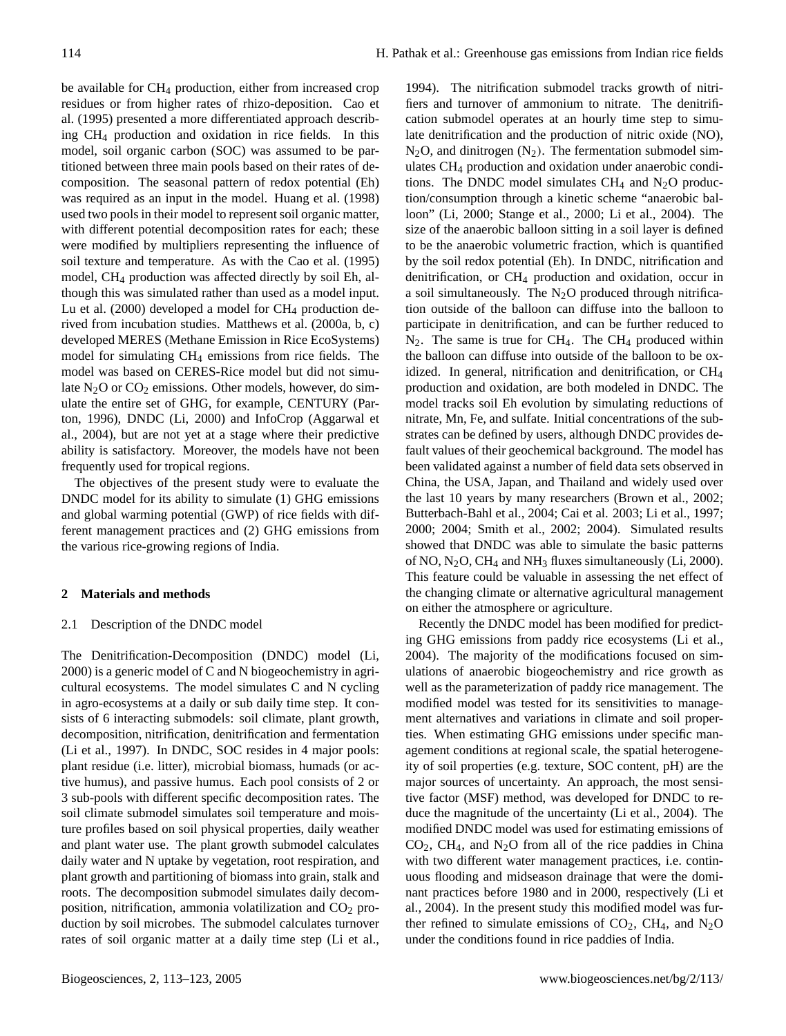be available for CH<sub>4</sub> production, either from increased crop residues or from higher rates of rhizo-deposition. Cao et al. (1995) presented a more differentiated approach describing CH<sup>4</sup> production and oxidation in rice fields. In this model, soil organic carbon (SOC) was assumed to be partitioned between three main pools based on their rates of decomposition. The seasonal pattern of redox potential (Eh) was required as an input in the model. Huang et al. (1998) used two pools in their model to represent soil organic matter, with different potential decomposition rates for each; these were modified by multipliers representing the influence of soil texture and temperature. As with the Cao et al. (1995) model, CH<sup>4</sup> production was affected directly by soil Eh, although this was simulated rather than used as a model input. Lu et al.  $(2000)$  developed a model for  $CH<sub>4</sub>$  production derived from incubation studies. Matthews et al. (2000a, b, c) developed MERES (Methane Emission in Rice EcoSystems) model for simulating CH<sup>4</sup> emissions from rice fields. The model was based on CERES-Rice model but did not simulate  $N_2O$  or  $CO_2$  emissions. Other models, however, do simulate the entire set of GHG, for example, CENTURY (Parton, 1996), DNDC (Li, 2000) and InfoCrop (Aggarwal et al., 2004), but are not yet at a stage where their predictive ability is satisfactory. Moreover, the models have not been frequently used for tropical regions.

The objectives of the present study were to evaluate the DNDC model for its ability to simulate (1) GHG emissions and global warming potential (GWP) of rice fields with different management practices and (2) GHG emissions from the various rice-growing regions of India.

## **2 Materials and methods**

#### 2.1 Description of the DNDC model

The Denitrification-Decomposition (DNDC) model (Li, 2000) is a generic model of C and N biogeochemistry in agricultural ecosystems. The model simulates C and N cycling in agro-ecosystems at a daily or sub daily time step. It consists of 6 interacting submodels: soil climate, plant growth, decomposition, nitrification, denitrification and fermentation (Li et al., 1997). In DNDC, SOC resides in 4 major pools: plant residue (i.e. litter), microbial biomass, humads (or active humus), and passive humus. Each pool consists of 2 or 3 sub-pools with different specific decomposition rates. The soil climate submodel simulates soil temperature and moisture profiles based on soil physical properties, daily weather and plant water use. The plant growth submodel calculates daily water and N uptake by vegetation, root respiration, and plant growth and partitioning of biomass into grain, stalk and roots. The decomposition submodel simulates daily decomposition, nitrification, ammonia volatilization and  $CO<sub>2</sub>$  production by soil microbes. The submodel calculates turnover rates of soil organic matter at a daily time step (Li et al.,

1994). The nitrification submodel tracks growth of nitrifiers and turnover of ammonium to nitrate. The denitrification submodel operates at an hourly time step to simulate denitrification and the production of nitric oxide (NO),  $N_2O$ , and dinitrogen  $(N_2)$ . The fermentation submodel simulates CH<sup>4</sup> production and oxidation under anaerobic conditions. The DNDC model simulates  $CH_4$  and N<sub>2</sub>O production/consumption through a kinetic scheme "anaerobic balloon" (Li, 2000; Stange et al., 2000; Li et al., 2004). The size of the anaerobic balloon sitting in a soil layer is defined to be the anaerobic volumetric fraction, which is quantified by the soil redox potential (Eh). In DNDC, nitrification and denitrification, or CH<sup>4</sup> production and oxidation, occur in a soil simultaneously. The  $N_2O$  produced through nitrification outside of the balloon can diffuse into the balloon to participate in denitrification, and can be further reduced to  $N_2$ . The same is true for CH<sub>4</sub>. The CH<sub>4</sub> produced within the balloon can diffuse into outside of the balloon to be oxidized. In general, nitrification and denitrification, or CH<sup>4</sup> production and oxidation, are both modeled in DNDC. The model tracks soil Eh evolution by simulating reductions of nitrate, Mn, Fe, and sulfate. Initial concentrations of the substrates can be defined by users, although DNDC provides default values of their geochemical background. The model has been validated against a number of field data sets observed in China, the USA, Japan, and Thailand and widely used over the last 10 years by many researchers (Brown et al., 2002; Butterbach-Bahl et al., 2004; Cai et al. 2003; Li et al., 1997; 2000; 2004; Smith et al., 2002; 2004). Simulated results showed that DNDC was able to simulate the basic patterns of NO,  $N_2$ O, CH<sub>4</sub> and NH<sub>3</sub> fluxes simultaneously (Li, 2000). This feature could be valuable in assessing the net effect of the changing climate or alternative agricultural management on either the atmosphere or agriculture.

Recently the DNDC model has been modified for predicting GHG emissions from paddy rice ecosystems (Li et al., 2004). The majority of the modifications focused on simulations of anaerobic biogeochemistry and rice growth as well as the parameterization of paddy rice management. The modified model was tested for its sensitivities to management alternatives and variations in climate and soil properties. When estimating GHG emissions under specific management conditions at regional scale, the spatial heterogeneity of soil properties (e.g. texture, SOC content, pH) are the major sources of uncertainty. An approach, the most sensitive factor (MSF) method, was developed for DNDC to reduce the magnitude of the uncertainty (Li et al., 2004). The modified DNDC model was used for estimating emissions of  $CO<sub>2</sub>$ , CH<sub>4</sub>, and N<sub>2</sub>O from all of the rice paddies in China with two different water management practices, i.e. continuous flooding and midseason drainage that were the dominant practices before 1980 and in 2000, respectively (Li et al., 2004). In the present study this modified model was further refined to simulate emissions of  $CO<sub>2</sub>$ , CH<sub>4</sub>, and N<sub>2</sub>O under the conditions found in rice paddies of India.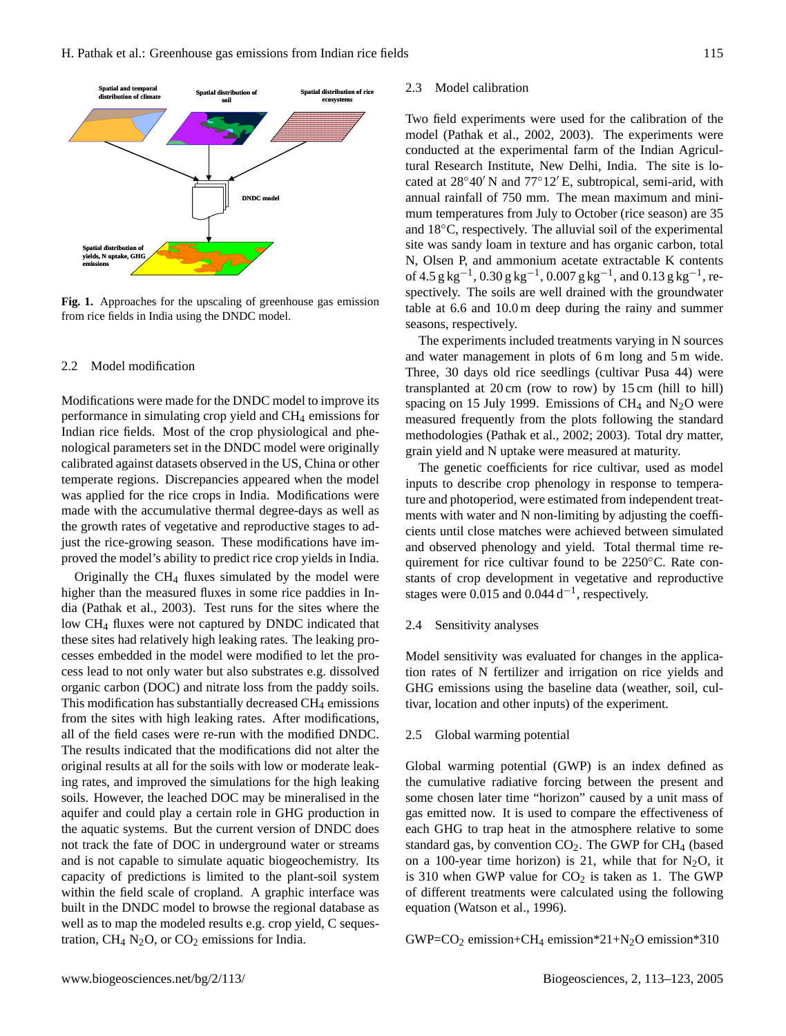

**Fig. 1.** Approaches for the upscaling of greenhouse gas emission from rice fields in India using the DNDC model.

#### $\mathbf{F} = \mathbf{F} \mathbf{F} \mathbf{F} + \mathbf{F} \mathbf{F} \mathbf{F} + \mathbf{F} \mathbf{F} \mathbf{F} + \mathbf{F} \mathbf{F} \mathbf{F} + \mathbf{F} \mathbf{F} \mathbf{F} \mathbf{F} + \mathbf{F} \mathbf{F} \mathbf{F} \mathbf{F} + \mathbf{F} \mathbf{F} \mathbf{F} \mathbf{F} + \mathbf{F} \mathbf{F} \mathbf{F} \mathbf{F} + \mathbf{F} \mathbf{F} \mathbf{F} \mathbf{F} + \mathbf{F} \mathbf{F}$ 2.2 Model modification

Modifications were made for the DNDC model to improve its performance in simulating crop yield and CH<sup>4</sup> emissions for Indian rice fields. Most of the crop physiological and phenological parameters set in the DNDC model were originally calibrated against datasets observed in the US, China or other temperate regions. Discrepancies appeared when the model was applied for the rice crops in India. Modifications were made with the accumulative thermal degree-days as well as the growth rates of vegetative and reproductive stages to adjust the rice-growing season. These modifications have improved the model's ability to predict rice crop yields in India.

Originally the CH<sup>4</sup> fluxes simulated by the model were higher than the measured fluxes in some rice paddies in India (Pathak et al., 2003). Test runs for the sites where the low CH<sup>4</sup> fluxes were not captured by DNDC indicated that these sites had relatively high leaking rates. The leaking processes embedded in the model were modified to let the process lead to not only water but also substrates e.g. dissolved organic carbon (DOC) and nitrate loss from the paddy soils. This modification has substantially decreased CH<sub>4</sub> emissions from the sites with high leaking rates. After modifications, all of the field cases were re-run with the modified DNDC. The results indicated that the modifications did not alter the original results at all for the soils with low or moderate leaking rates, and improved the simulations for the high leaking soils. However, the leached DOC may be mineralised in the aquifer and could play a certain role in GHG production in the aquatic systems. But the current version of DNDC does not track the fate of DOC in underground water or streams and is not capable to simulate aquatic biogeochemistry. Its capacity of predictions is limited to the plant-soil system within the field scale of cropland. A graphic interface was built in the DNDC model to browse the regional database as well as to map the modeled results e.g. crop yield, C sequestration,  $CH_4$  N<sub>2</sub>O, or CO<sub>2</sub> emissions for India.

#### 2.3 Model calibration

Two field experiments were used for the calibration of the model (Pathak et al., 2002, 2003). The experiments were conducted at the experimental farm of the Indian Agricultural Research Institute, New Delhi, India. The site is located at  $28°40'$  N and  $77°12'E$ , subtropical, semi-arid, with annual rainfall of 750 mm. The mean maximum and minimum temperatures from July to October (rice season) are 35 and 18◦C, respectively. The alluvial soil of the experimental site was sandy loam in texture and has organic carbon, total N, Olsen P, and ammonium acetate extractable K contents of  $4.5 \text{ g kg}^{-1}$ ,  $0.30 \text{ g kg}^{-1}$ ,  $0.007 \text{ g kg}^{-1}$ , and  $0.13 \text{ g kg}^{-1}$ , respectively. The soils are well drained with the groundwater table at 6.6 and 10.0 m deep during the rainy and summer seasons, respectively.

The experiments included treatments varying in N sources and water management in plots of 6 m long and 5 m wide. Three, 30 days old rice seedlings (cultivar Pusa 44) were transplanted at 20 cm (row to row) by 15 cm (hill to hill) spacing on 15 July 1999. Emissions of CH<sub>4</sub> and  $N_2O$  were measured frequently from the plots following the standard methodologies (Pathak et al., 2002; 2003). Total dry matter, grain yield and N uptake were measured at maturity.

The genetic coefficients for rice cultivar, used as model inputs to describe crop phenology in response to temperature and photoperiod, were estimated from independent treatments with water and N non-limiting by adjusting the coefficients until close matches were achieved between simulated and observed phenology and yield. Total thermal time requirement for rice cultivar found to be 2250◦C. Rate constants of crop development in vegetative and reproductive stages were  $0.015$  and  $0.044 d^{-1}$ , respectively.

#### 2.4 Sensitivity analyses

Model sensitivity was evaluated for changes in the application rates of N fertilizer and irrigation on rice yields and GHG emissions using the baseline data (weather, soil, cultivar, location and other inputs) of the experiment.

#### 2.5 Global warming potential

Global warming potential (GWP) is an index defined as the cumulative radiative forcing between the present and some chosen later time "horizon" caused by a unit mass of gas emitted now. It is used to compare the effectiveness of each GHG to trap heat in the atmosphere relative to some standard gas, by convention  $CO<sub>2</sub>$ . The GWP for  $CH<sub>4</sub>$  (based on a 100-year time horizon) is 21, while that for  $N_2O$ , it is 310 when GWP value for  $CO<sub>2</sub>$  is taken as 1. The GWP of different treatments were calculated using the following equation (Watson et al., 1996).

GWP= $CO<sub>2</sub>$  emission+CH<sub>4</sub> emission\*21+N<sub>2</sub>O emission\*310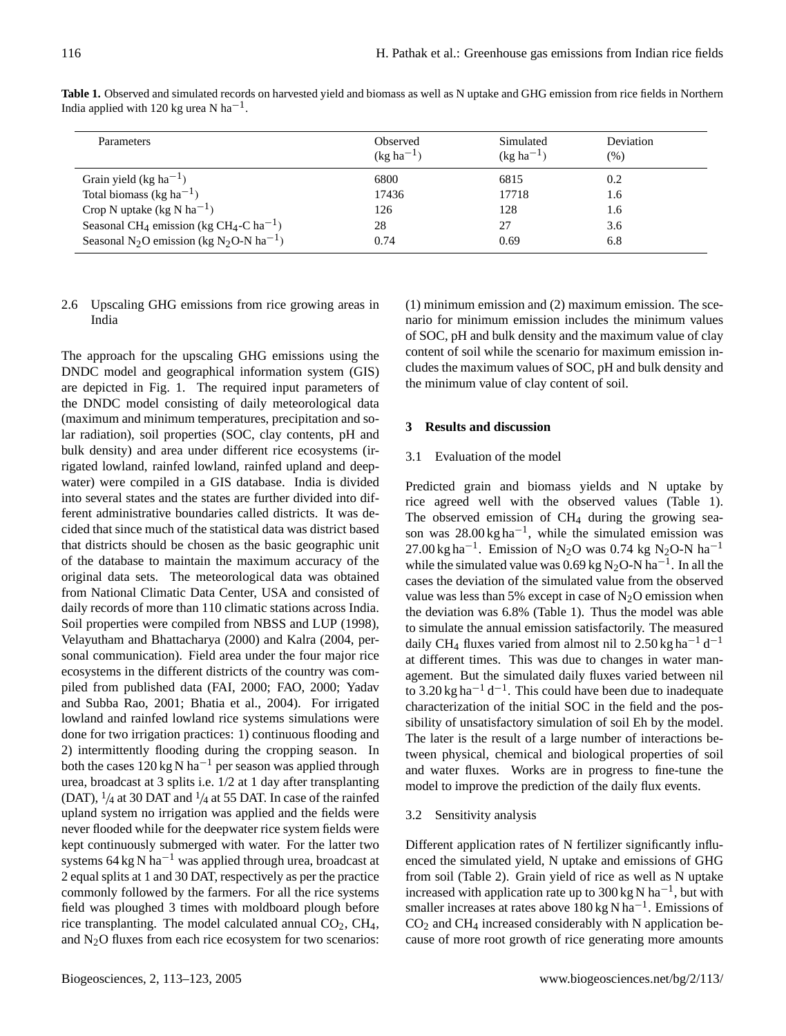| Parameters                                                                   | Observed<br>$(kg ha^{-1})$ | Simulated<br>$(kg ha^{-1})$ | Deviation<br>(% ) |
|------------------------------------------------------------------------------|----------------------------|-----------------------------|-------------------|
| Grain yield (kg ha <sup>-1</sup> )                                           | 6800                       | 6815                        | 0.2               |
| Total biomass (kg ha <sup>-1</sup> )                                         | 17436                      | 17718                       | 1.6               |
| Crop N uptake (kg N ha <sup>-1</sup> )                                       | 126                        | 128                         | 1.6               |
| Seasonal CH <sub>4</sub> emission (kg CH <sub>4</sub> -C ha <sup>-1</sup> )  | 28                         |                             | 3.6               |
| Seasonal N <sub>2</sub> O emission (kg N <sub>2</sub> O-N ha <sup>-1</sup> ) | 0.74                       | 0.69                        | 6.8               |

**Table 1.** Observed and simulated records on harvested yield and biomass as well as N uptake and GHG emission from rice fields in Northern India applied with 120 kg urea N ha<sup>-1</sup>.

## 2.6 Upscaling GHG emissions from rice growing areas in India

The approach for the upscaling GHG emissions using the DNDC model and geographical information system (GIS) are depicted in Fig. 1. The required input parameters of the DNDC model consisting of daily meteorological data (maximum and minimum temperatures, precipitation and solar radiation), soil properties (SOC, clay contents, pH and bulk density) and area under different rice ecosystems (irrigated lowland, rainfed lowland, rainfed upland and deepwater) were compiled in a GIS database. India is divided into several states and the states are further divided into different administrative boundaries called districts. It was decided that since much of the statistical data was district based that districts should be chosen as the basic geographic unit of the database to maintain the maximum accuracy of the original data sets. The meteorological data was obtained from National Climatic Data Center, USA and consisted of daily records of more than 110 climatic stations across India. Soil properties were compiled from NBSS and LUP (1998), Velayutham and Bhattacharya (2000) and Kalra (2004, personal communication). Field area under the four major rice ecosystems in the different districts of the country was compiled from published data (FAI, 2000; FAO, 2000; Yadav and Subba Rao, 2001; Bhatia et al., 2004). For irrigated lowland and rainfed lowland rice systems simulations were done for two irrigation practices: 1) continuous flooding and 2) intermittently flooding during the cropping season. In both the cases 120 kg N ha−<sup>1</sup> per season was applied through urea, broadcast at 3 splits i.e. 1/2 at 1 day after transplanting (DAT),  $\frac{1}{4}$  at 30 DAT and  $\frac{1}{4}$  at 55 DAT. In case of the rainfed upland system no irrigation was applied and the fields were never flooded while for the deepwater rice system fields were kept continuously submerged with water. For the latter two systems 64 kg N ha<sup> $-1$ </sup> was applied through urea, broadcast at 2 equal splits at 1 and 30 DAT, respectively as per the practice commonly followed by the farmers. For all the rice systems field was ploughed 3 times with moldboard plough before rice transplanting. The model calculated annual  $CO<sub>2</sub>$ ,  $CH<sub>4</sub>$ , and  $N_2O$  fluxes from each rice ecosystem for two scenarios: (1) minimum emission and (2) maximum emission. The scenario for minimum emission includes the minimum values of SOC, pH and bulk density and the maximum value of clay content of soil while the scenario for maximum emission includes the maximum values of SOC, pH and bulk density and the minimum value of clay content of soil.

## **3 Results and discussion**

## 3.1 Evaluation of the model

Predicted grain and biomass yields and N uptake by rice agreed well with the observed values (Table 1). The observed emission of  $CH<sub>4</sub>$  during the growing season was  $28.00 \text{ kg ha}^{-1}$ , while the simulated emission was 27.00 kg ha<sup>-1</sup>. Emission of N<sub>2</sub>O was 0.74 kg N<sub>2</sub>O-N ha<sup>-1</sup> while the simulated value was 0.69 kg N<sub>2</sub>O-N ha<sup>-1</sup>. In all the cases the deviation of the simulated value from the observed value was less than 5% except in case of  $N_2O$  emission when the deviation was 6.8% (Table 1). Thus the model was able to simulate the annual emission satisfactorily. The measured daily CH<sub>4</sub> fluxes varied from almost nil to 2.50 kg ha<sup>-1</sup> d<sup>-1</sup> at different times. This was due to changes in water management. But the simulated daily fluxes varied between nil to 3.20 kg ha<sup> $-1$ </sup> d<sup>-1</sup>. This could have been due to inadequate characterization of the initial SOC in the field and the possibility of unsatisfactory simulation of soil Eh by the model. The later is the result of a large number of interactions between physical, chemical and biological properties of soil and water fluxes. Works are in progress to fine-tune the model to improve the prediction of the daily flux events.

## 3.2 Sensitivity analysis

Different application rates of N fertilizer significantly influenced the simulated yield, N uptake and emissions of GHG from soil (Table 2). Grain yield of rice as well as N uptake increased with application rate up to 300 kg N ha<sup>-1</sup>, but with smaller increases at rates above 180 kg N ha<sup>-1</sup>. Emissions of  $CO<sub>2</sub>$  and CH<sub>4</sub> increased considerably with N application because of more root growth of rice generating more amounts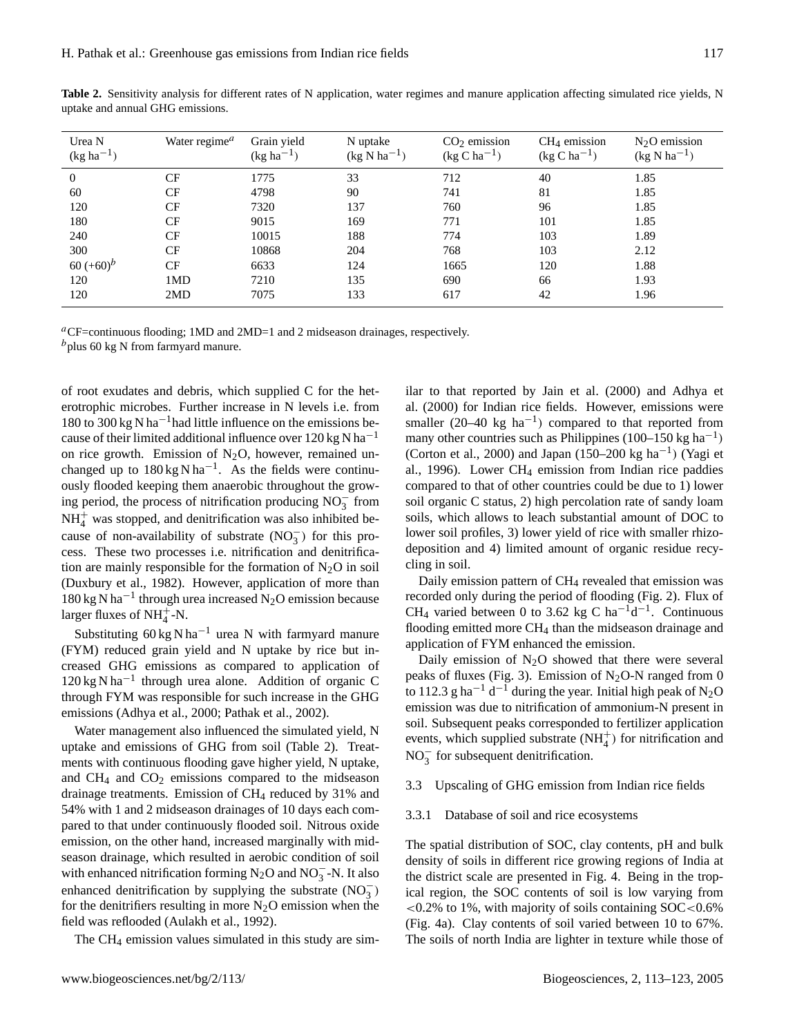| Urea N<br>$(kg ha^{-1})$ | Water regime <sup>a</sup> | Grain yield<br>$(kg ha^{-1})$ | N uptake<br>$(kg \text{ N ha}^{-1})$ | $CO2$ emission<br>$(\text{kg C ha}^{-1})$ | $CH4$ emission<br>$(kg C ha^{-1})$ | $N2O$ emission<br>$(kg \text{ N ha}^{-1})$ |
|--------------------------|---------------------------|-------------------------------|--------------------------------------|-------------------------------------------|------------------------------------|--------------------------------------------|
| $\overline{0}$           | CF                        | 1775                          | 33                                   | 712                                       | 40                                 | 1.85                                       |
| 60                       | CF                        | 4798                          | 90                                   | 741                                       | 81                                 | 1.85                                       |
| 120                      | CF                        | 7320                          | 137                                  | 760                                       | 96                                 | 1.85                                       |
| 180                      | CF                        | 9015                          | 169                                  | 771                                       | 101                                | 1.85                                       |
| 240                      | CF                        | 10015                         | 188                                  | 774                                       | 103                                | 1.89                                       |
| 300                      | CF                        | 10868                         | 204                                  | 768                                       | 103                                | 2.12                                       |
| $60 (+60)^{b}$           | CF                        | 6633                          | 124                                  | 1665                                      | 120                                | 1.88                                       |
| 120                      | 1MD                       | 7210                          | 135                                  | 690                                       | 66                                 | 1.93                                       |
| 120                      | 2MD                       | 7075                          | 133                                  | 617                                       | 42                                 | 1.96                                       |

Table 2. Sensitivity analysis for different rates of N application, water regimes and manure application affecting simulated rice yields, N uptake and annual GHG emissions.

<sup>a</sup>CF=continuous flooding; 1MD and 2MD=1 and 2 midseason drainages, respectively.  $<sup>b</sup>$ plus 60 kg N from farmyard manure.</sup>

of root exudates and debris, which supplied C for the heterotrophic microbes. Further increase in N levels i.e. from 180 to 300 kg N ha<sup>-1</sup>had little influence on the emissions because of their limited additional influence over  $120 \text{ kg N}$  ha<sup>-1</sup> on rice growth. Emission of  $N_2O$ , however, remained unchanged up to  $180 \text{ kg N} \text{ ha}^{-1}$ . As the fields were continuously flooded keeping them anaerobic throughout the growing period, the process of nitrification producing  $NO_3^-$  from  $NH<sub>4</sub><sup>+</sup>$  was stopped, and denitrification was also inhibited because of non-availability of substrate  $(NO<sub>3</sub><sup>-</sup>)$  for this process. These two processes i.e. nitrification and denitrification are mainly responsible for the formation of  $N_2O$  in soil (Duxbury et al., 1982). However, application of more than 180 kg N ha−<sup>1</sup> through urea increased N2O emission because larger fluxes of  $NH_4^+$ -N.

Substituting  $60 \text{ kg} \text{ N} \text{ ha}^{-1}$  urea N with farmyard manure (FYM) reduced grain yield and N uptake by rice but increased GHG emissions as compared to application of 120 kg N ha−<sup>1</sup> through urea alone. Addition of organic C through FYM was responsible for such increase in the GHG emissions (Adhya et al., 2000; Pathak et al., 2002).

Water management also influenced the simulated yield, N uptake and emissions of GHG from soil (Table 2). Treatments with continuous flooding gave higher yield, N uptake, and  $CH_4$  and  $CO_2$  emissions compared to the midseason drainage treatments. Emission of CH<sub>4</sub> reduced by 31% and 54% with 1 and 2 midseason drainages of 10 days each compared to that under continuously flooded soil. Nitrous oxide emission, on the other hand, increased marginally with midseason drainage, which resulted in aerobic condition of soil with enhanced nitrification forming N<sub>2</sub>O and NO<sub>3</sub><sup>-</sup>N. It also enhanced denitrification by supplying the substrate  $(NO<sub>3</sub><sup>-</sup>)$ for the denitrifiers resulting in more  $N_2O$  emission when the field was reflooded (Aulakh et al., 1992).

The CH<sub>4</sub> emission values simulated in this study are sim-

ilar to that reported by Jain et al. (2000) and Adhya et al. (2000) for Indian rice fields. However, emissions were smaller  $(20-40 \text{ kg ha}^{-1})$  compared to that reported from many other countries such as Philippines (100–150 kg ha<sup>-1</sup>) (Corton et al., 2000) and Japan (150–200 kg ha−<sup>1</sup> ) (Yagi et al., 1996). Lower CH<sup>4</sup> emission from Indian rice paddies compared to that of other countries could be due to 1) lower soil organic C status, 2) high percolation rate of sandy loam soils, which allows to leach substantial amount of DOC to lower soil profiles, 3) lower yield of rice with smaller rhizodeposition and 4) limited amount of organic residue recycling in soil.

Daily emission pattern of CH<sup>4</sup> revealed that emission was recorded only during the period of flooding (Fig. 2). Flux of CH<sub>4</sub> varied between 0 to 3.62 kg C ha<sup>-1</sup>d<sup>-1</sup>. Continuous flooding emitted more CH<sup>4</sup> than the midseason drainage and application of FYM enhanced the emission.

Daily emission of  $N_2O$  showed that there were several peaks of fluxes (Fig. 3). Emission of  $N_2O-N$  ranged from 0 to 112.3 g ha<sup>-1</sup> d<sup>-1</sup> during the year. Initial high peak of N<sub>2</sub>O emission was due to nitrification of ammonium-N present in soil. Subsequent peaks corresponded to fertilizer application events, which supplied substrate  $(NH_4^+)$  for nitrification and  $NO<sub>3</sub><sup>-</sup>$  for subsequent denitrification.

#### 3.3 Upscaling of GHG emission from Indian rice fields

#### 3.3.1 Database of soil and rice ecosystems

The spatial distribution of SOC, clay contents, pH and bulk density of soils in different rice growing regions of India at the district scale are presented in Fig. 4. Being in the tropical region, the SOC contents of soil is low varying from  $\langle 0.2\% \rangle$  to 1%, with majority of soils containing SOC $\langle 0.6\% \rangle$ (Fig. 4a). Clay contents of soil varied between 10 to 67%. The soils of north India are lighter in texture while those of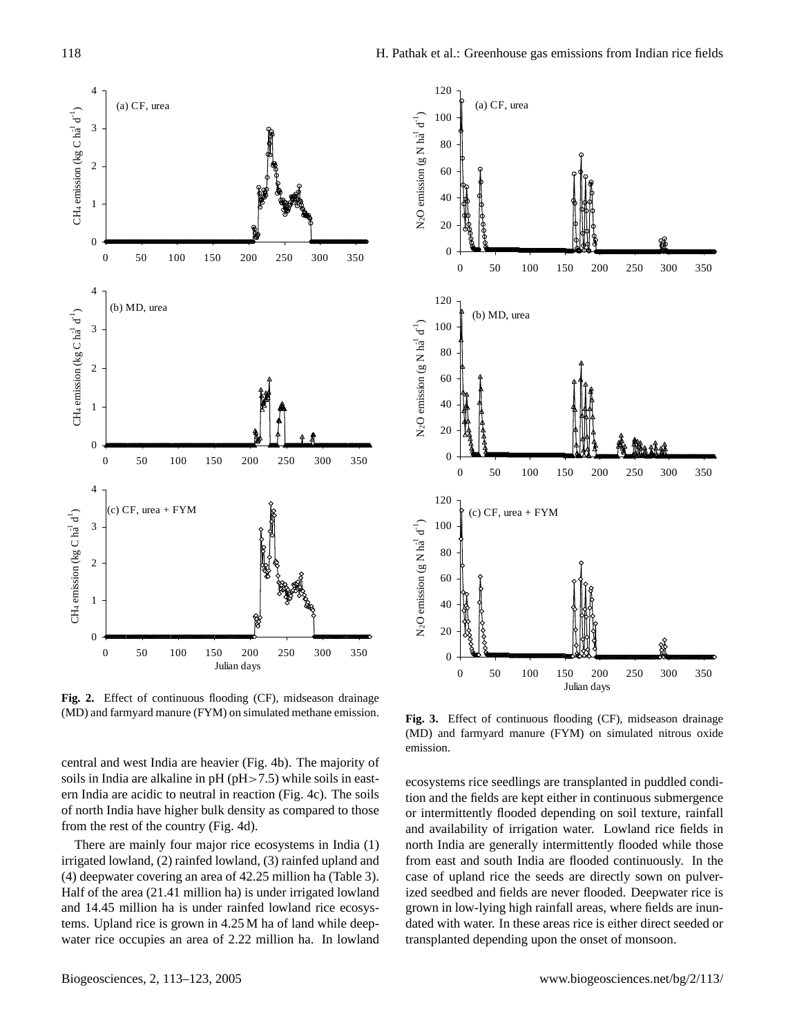

Fig. 2. Effect of continuous flooding (CF), midseason drainage manure (FYM) on simulated methane emission. (MD) and farmyard manure (FYM) on simulated methane emission.

central and west India are heavier (Fig. 4b). The majority of soils in India are alkaline in pH (pH>7.5) while soils in eastern India are acidic to neutral in reaction (Fig. 4c). The soils of north India have higher bulk density as compared to those from the rest of the country (Fig. 4d).

There are mainly four major rice ecosystems in India (1) irrigated lowland, (2) rainfed lowland, (3) rainfed upland and (4) deepwater covering an area of 42.25 million ha (Table 3). Half of the area (21.41 million ha) is under irrigated lowland and 14.45 million ha is under rainfed lowland rice ecosystems. Upland rice is grown in 4.25 M ha of land while deepwater rice occupies an area of 2.22 million ha. In lowland



Fig. 3. Effect of continuous flooding (CF), midseason drainage  $(MD)$  and farmyard manure  $(FYM)$  on simulated nitrous oxide emission.

ecosystems rice seedlings are transplanted in puddled condition and the fields are kept either in continuous submergence or intermittently flooded depending on soil texture, rainfall and availability of irrigation water. Lowland rice fields in north India are generally intermittently flooded while those from east and south India are flooded continuously. In the case of upland rice the seeds are directly sown on pulverized seedbed and fields are never flooded. Deepwater rice is grown in low-lying high rainfall areas, where fields are inundated with water. In these areas rice is either direct seeded or transplanted depending upon the onset of monsoon.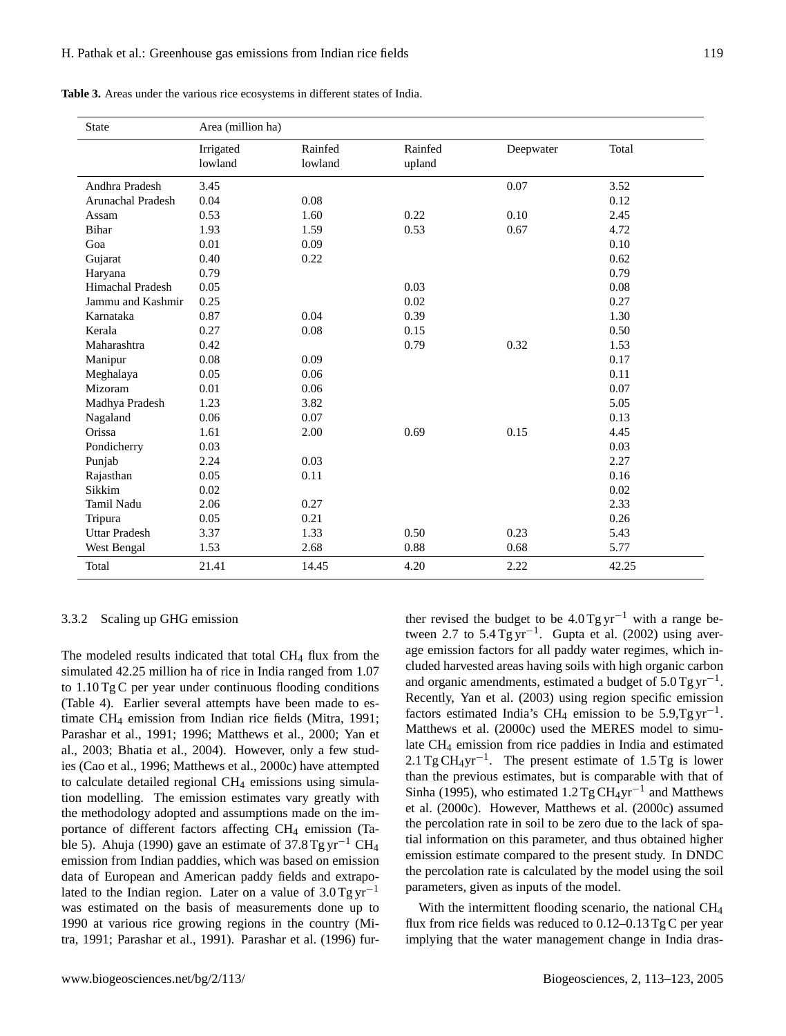| <b>State</b>             | Area (million ha)    |                    |                   |           |       |
|--------------------------|----------------------|--------------------|-------------------|-----------|-------|
|                          | Irrigated<br>lowland | Rainfed<br>lowland | Rainfed<br>upland | Deepwater | Total |
| Andhra Pradesh           | 3.45                 |                    |                   | 0.07      | 3.52  |
| <b>Arunachal Pradesh</b> | 0.04                 | 0.08               |                   |           | 0.12  |
| Assam                    | 0.53                 | 1.60               | 0.22              | 0.10      | 2.45  |
| Bihar                    | 1.93                 | 1.59               | 0.53              | 0.67      | 4.72  |
| Goa                      | 0.01                 | 0.09               |                   |           | 0.10  |
| Gujarat                  | 0.40                 | 0.22               |                   |           | 0.62  |
| Haryana                  | 0.79                 |                    |                   |           | 0.79  |
| <b>Himachal Pradesh</b>  | 0.05                 |                    | 0.03              |           | 0.08  |
| Jammu and Kashmir        | 0.25                 |                    | 0.02              |           | 0.27  |
| Karnataka                | 0.87                 | 0.04               | 0.39              |           | 1.30  |
| Kerala                   | 0.27                 | 0.08               | 0.15              |           | 0.50  |
| Maharashtra              | 0.42                 |                    | 0.79              | 0.32      | 1.53  |
| Manipur                  | 0.08                 | 0.09               |                   |           | 0.17  |
| Meghalaya                | 0.05                 | 0.06               |                   |           | 0.11  |
| Mizoram                  | 0.01                 | 0.06               |                   |           | 0.07  |
| Madhya Pradesh           | 1.23                 | 3.82               |                   |           | 5.05  |
| Nagaland                 | 0.06                 | 0.07               |                   |           | 0.13  |
| Orissa                   | 1.61                 | 2.00               | 0.69              | 0.15      | 4.45  |
| Pondicherry              | 0.03                 |                    |                   |           | 0.03  |
| Punjab                   | 2.24                 | 0.03               |                   |           | 2.27  |
| Rajasthan                | 0.05                 | 0.11               |                   |           | 0.16  |
| Sikkim                   | 0.02                 |                    |                   |           | 0.02  |
| <b>Tamil Nadu</b>        | 2.06                 | 0.27               |                   |           | 2.33  |
| Tripura                  | 0.05                 | 0.21               |                   |           | 0.26  |
| <b>Uttar Pradesh</b>     | 3.37                 | 1.33               | 0.50              | 0.23      | 5.43  |
| West Bengal              | 1.53                 | 2.68               | 0.88              | 0.68      | 5.77  |
| Total                    | 21.41                | 14.45              | 4.20              | 2.22      | 42.25 |

**Table 3.** Areas under the various rice ecosystems in different states of India.

## 3.3.2 Scaling up GHG emission

The modeled results indicated that total CH<sub>4</sub> flux from the simulated 42.25 million ha of rice in India ranged from 1.07 to 1.10 Tg C per year under continuous flooding conditions (Table 4). Earlier several attempts have been made to estimate CH<sup>4</sup> emission from Indian rice fields (Mitra, 1991; Parashar et al., 1991; 1996; Matthews et al., 2000; Yan et al., 2003; Bhatia et al., 2004). However, only a few studies (Cao et al., 1996; Matthews et al., 2000c) have attempted to calculate detailed regional  $CH<sub>4</sub>$  emissions using simulation modelling. The emission estimates vary greatly with the methodology adopted and assumptions made on the importance of different factors affecting CH<sup>4</sup> emission (Table 5). Ahuja (1990) gave an estimate of  $37.8 \text{ Tg yr}^{-1} \text{CH}_4$ emission from Indian paddies, which was based on emission data of European and American paddy fields and extrapolated to the Indian region. Later on a value of  $3.0$  Tg yr<sup>-1</sup> was estimated on the basis of measurements done up to 1990 at various rice growing regions in the country (Mitra, 1991; Parashar et al., 1991). Parashar et al. (1996) further revised the budget to be  $4.0$  Tg yr<sup>-1</sup> with a range between 2.7 to 5.4 Tg yr−<sup>1</sup> . Gupta et al. (2002) using average emission factors for all paddy water regimes, which included harvested areas having soils with high organic carbon and organic amendments, estimated a budget of  $5.0$  Tg yr<sup>-1</sup>. Recently, Yan et al. (2003) using region specific emission factors estimated India's CH<sub>4</sub> emission to be 5.9,Tg yr<sup>-1</sup>. Matthews et al. (2000c) used the MERES model to simulate CH<sup>4</sup> emission from rice paddies in India and estimated  $2.1 \text{ Tg } CH_4 \text{yr}^{-1}$ . The present estimate of 1.5 Tg is lower than the previous estimates, but is comparable with that of Sinha (1995), who estimated  $1.2$  Tg CH<sub>4</sub>yr<sup>-1</sup> and Matthews et al. (2000c). However, Matthews et al. (2000c) assumed the percolation rate in soil to be zero due to the lack of spatial information on this parameter, and thus obtained higher emission estimate compared to the present study. In DNDC the percolation rate is calculated by the model using the soil parameters, given as inputs of the model.

With the intermittent flooding scenario, the national CH<sub>4</sub> flux from rice fields was reduced to  $0.12-0.13$  Tg C per year implying that the water management change in India dras-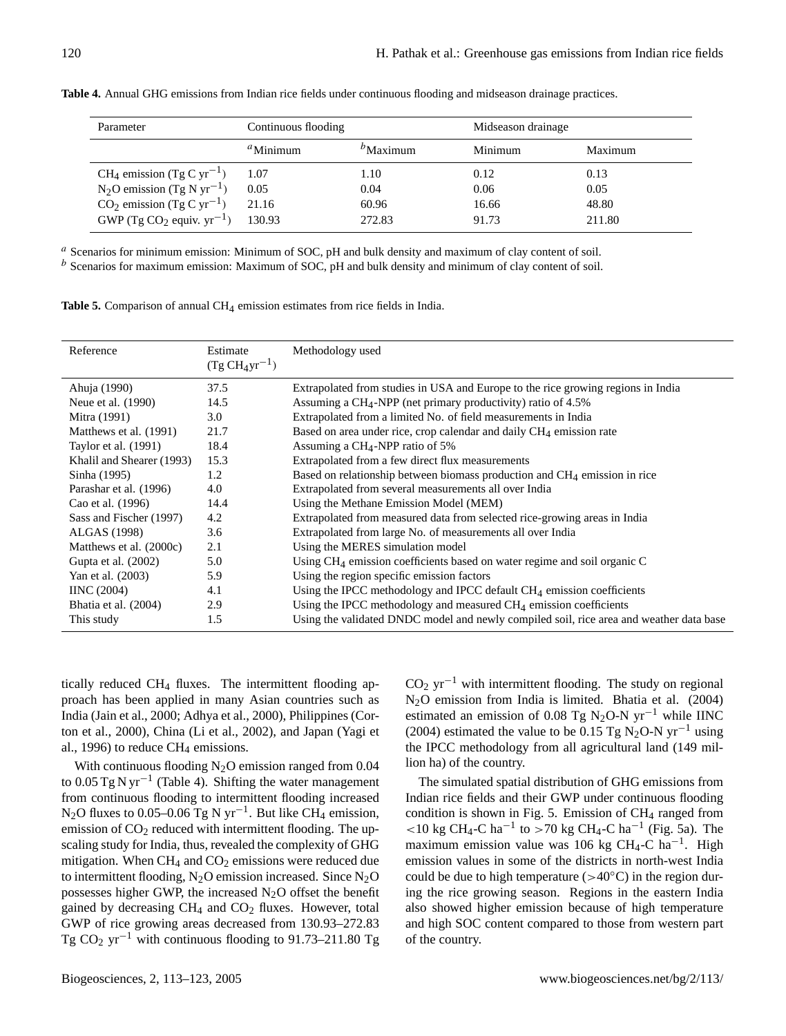| Parameter                                         | Continuous flooding |                       | Midseason drainage |         |
|---------------------------------------------------|---------------------|-----------------------|--------------------|---------|
|                                                   | ${}^a$ Minimum      | $\mathbf{^b}$ Maximum | Minimum            | Maximum |
| CH <sub>4</sub> emission (Tg C yr <sup>-1</sup> ) | 1.07                | 1.10                  | 0.12               | 0.13    |
| $N_2O$ emission (Tg N yr <sup>-1</sup> )          | 0.05                | 0.04                  | 0.06               | 0.05    |
| $CO2$ emission (Tg C yr <sup>-1</sup> )           | 21.16               | 60.96                 | 16.66              | 48.80   |
| GWP (Tg CO <sub>2</sub> equiv. $yr^{-1}$ )        | 130.93              | 272.83                | 91.73              | 211.80  |

**Table 4.** Annual GHG emissions from Indian rice fields under continuous flooding and midseason drainage practices.

<sup>a</sup> Scenarios for minimum emission: Minimum of SOC, pH and bulk density and maximum of clay content of soil.  $<sup>b</sup>$  Scenarios for maximum emission: Maximum of SOC, pH and bulk density and minimum of clay content of soil.</sup>

**Table 5.** Comparison of annual CH<sub>4</sub> emission estimates from rice fields in India.

| Reference                 | Estimate<br>$(Tg CH_4yr^{-1})$ | Methodology used                                                                        |
|---------------------------|--------------------------------|-----------------------------------------------------------------------------------------|
| Ahuja (1990)              | 37.5                           | Extrapolated from studies in USA and Europe to the rice growing regions in India        |
| Neue et al. (1990)        | 14.5                           | Assuming a $CH_4$ -NPP (net primary productivity) ratio of 4.5%                         |
| Mitra (1991)              | 3.0                            | Extrapolated from a limited No. of field measurements in India                          |
| Matthews et al. (1991)    | 21.7                           | Based on area under rice, crop calendar and daily $CH4$ emission rate                   |
| Taylor et al. (1991)      | 18.4                           | Assuming a $CH_4$ -NPP ratio of 5%                                                      |
| Khalil and Shearer (1993) | 15.3                           | Extrapolated from a few direct flux measurements                                        |
| Sinha (1995)              | 1.2                            | Based on relationship between biomass production and $CH4$ emission in rice             |
| Parashar et al. (1996)    | 4.0                            | Extrapolated from several measurements all over India                                   |
| Cao et al. (1996)         | 14.4                           | Using the Methane Emission Model (MEM)                                                  |
| Sass and Fischer (1997)   | 4.2                            | Extrapolated from measured data from selected rice-growing areas in India               |
| ALGAS (1998)              | 3.6                            | Extrapolated from large No. of measurements all over India                              |
| Matthews et al. (2000c)   | 2.1                            | Using the MERES simulation model                                                        |
| Gupta et al. (2002)       | 5.0                            | Using $CH_4$ emission coefficients based on water regime and soil organic C             |
| Yan et al. (2003)         | 5.9                            | Using the region specific emission factors                                              |
| IINC $(2004)$             | 4.1                            | Using the IPCC methodology and IPCC default $CH4$ emission coefficients                 |
| Bhatia et al. (2004)      | 2.9                            | Using the IPCC methodology and measured CH <sub>4</sub> emission coefficients           |
| This study                | 1.5                            | Using the validated DNDC model and newly compiled soil, rice area and weather data base |

tically reduced CH<sup>4</sup> fluxes. The intermittent flooding approach has been applied in many Asian countries such as India (Jain et al., 2000; Adhya et al., 2000), Philippines (Corton et al., 2000), China (Li et al., 2002), and Japan (Yagi et al., 1996) to reduce  $CH<sub>4</sub>$  emissions.

With continuous flooding  $N_2O$  emission ranged from 0.04 to 0.05 Tg N yr<sup>-1</sup> (Table 4). Shifting the water management from continuous flooding to intermittent flooding increased N<sub>2</sub>O fluxes to 0.05–0.06 Tg N yr<sup>-1</sup>. But like CH<sub>4</sub> emission, emission of  $CO<sub>2</sub>$  reduced with intermittent flooding. The upscaling study for India, thus, revealed the complexity of GHG mitigation. When  $CH_4$  and  $CO_2$  emissions were reduced due to intermittent flooding,  $N_2O$  emission increased. Since  $N_2O$ possesses higher GWP, the increased  $N_2O$  offset the benefit gained by decreasing  $CH_4$  and  $CO_2$  fluxes. However, total GWP of rice growing areas decreased from 130.93–272.83 Tg  $CO_2$  yr<sup>-1</sup> with continuous flooding to 91.73–211.80 Tg  $CO<sub>2</sub> yr<sup>-1</sup>$  with intermittent flooding. The study on regional N2O emission from India is limited. Bhatia et al. (2004) estimated an emission of 0.08 Tg N<sub>2</sub>O-N yr<sup>-1</sup> while IINC (2004) estimated the value to be 0.15 Tg N<sub>2</sub>O-N yr<sup>-1</sup> using the IPCC methodology from all agricultural land (149 million ha) of the country.

The simulated spatial distribution of GHG emissions from Indian rice fields and their GWP under continuous flooding condition is shown in Fig. 5. Emission of  $CH<sub>4</sub>$  ranged from  $10 \text{ kg } CH_4$ -C ha<sup>-1</sup> to >70 kg CH<sub>4</sub>-C ha<sup>-1</sup> (Fig. 5a). The maximum emission value was 106 kg CH<sub>4</sub>-C ha<sup>-1</sup>. High emission values in some of the districts in north-west India could be due to high temperature ( $>40^{\circ}$ C) in the region during the rice growing season. Regions in the eastern India also showed higher emission because of high temperature and high SOC content compared to those from western part of the country.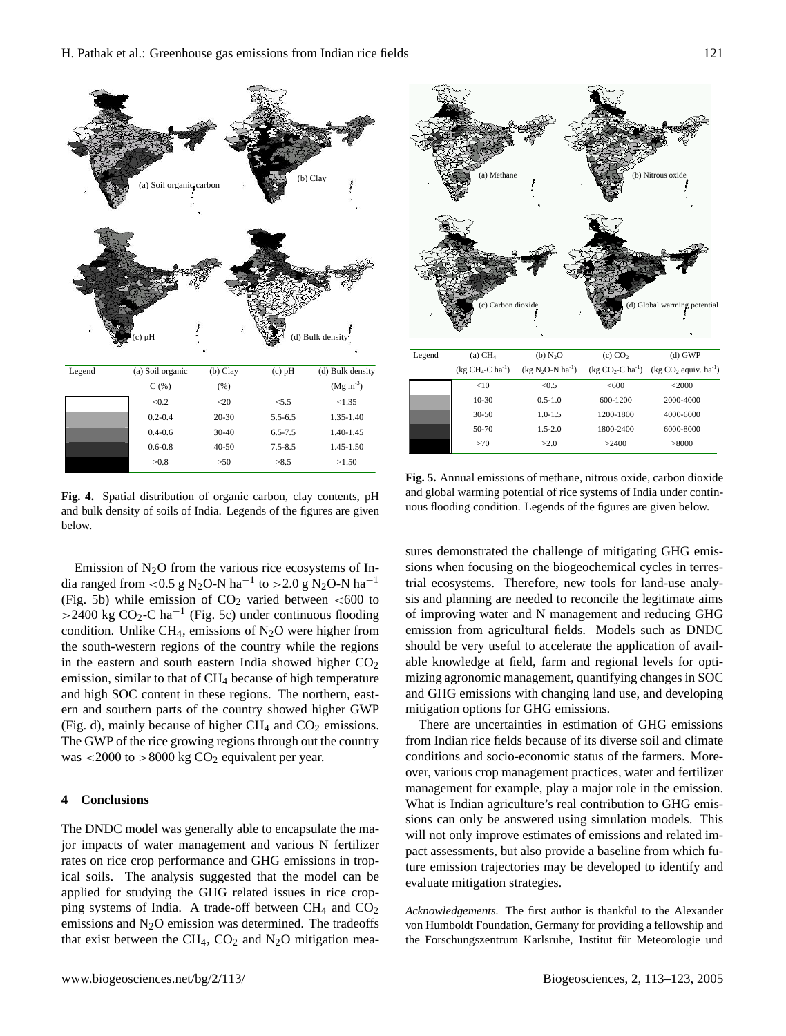

Fig. 4. Spatial distribution of organic carbon, clay contents, pH and bulk density of soils of India. Legends of the figures are given below.

Emission of  $N_2O$  from the various rice ecosystems of India ranged from <0.5 g N<sub>2</sub>O-N ha<sup>-1</sup> to >2.0 g N<sub>2</sub>O-N ha<sup>-1</sup> (Fig. 5b) while emission of  $CO<sub>2</sub>$  varied between <600 to >2400 kg CO<sub>2</sub>-C ha<sup>-1</sup> (Fig. 5c) under continuous flooding condition. Unlike CH<sub>4</sub>, emissions of N<sub>2</sub>O were higher from the south-western regions of the country while the regions in the eastern and south eastern India showed higher  $CO<sub>2</sub>$ emission, similar to that of CH<sub>4</sub> because of high temperature and high SOC content in these regions. The northern, eastern and southern parts of the country showed higher GWP (Fig. d), mainly because of higher  $CH_4$  and  $CO_2$  emissions. The GWP of the rice growing regions through out the country was  $\lt$  2000 to  $>8000$  kg CO<sub>2</sub> equivalent per year.

#### **4 Conclusions**

The DNDC model was generally able to encapsulate the major impacts of water management and various N fertilizer rates on rice crop performance and GHG emissions in tropical soils. The analysis suggested that the model can be applied for studying the GHG related issues in rice cropping systems of India. A trade-off between  $CH_4$  and  $CO_2$ emissions and  $N<sub>2</sub>O$  emission was determined. The tradeoffs that exist between the CH<sub>4</sub>, CO<sub>2</sub> and N<sub>2</sub>O mitigation mea-



Fig. 5. Annual emissions of methane, nitrous oxide, carbon dioxide  $50-70-70$ and global warming potential of rice systems of India under continuous flooding condition. Legends of the figures are given below.

sions when focusing on the biogeochemical cycles in terressures demonstrated the challenge of mitigating GHG emistrial ecosystems. Therefore, new tools for land-use analysis and planning are needed to reconcile the legitimate aims of improving water and N management and reducing GHG emission from agricultural fields. Models such as DNDC should be very useful to accelerate the application of available knowledge at field, farm and regional levels for optimizing agronomic management, quantifying changes in SOC and GHG emissions with changing land use, and developing mitigation options for GHG emissions.

There are uncertainties in estimation of GHG emissions from Indian rice fields because of its diverse soil and climate conditions and socio-economic status of the farmers. Moreover, various crop management practices, water and fertilizer management for example, play a major role in the emission. What is Indian agriculture's real contribution to GHG emissions can only be answered using simulation models. This will not only improve estimates of emissions and related impact assessments, but also provide a baseline from which future emission trajectories may be developed to identify and evaluate mitigation strategies.

*Acknowledgements.* The first author is thankful to the Alexander von Humboldt Foundation, Germany for providing a fellowship and the Forschungszentrum Karlsruhe, Institut für Meteorologie und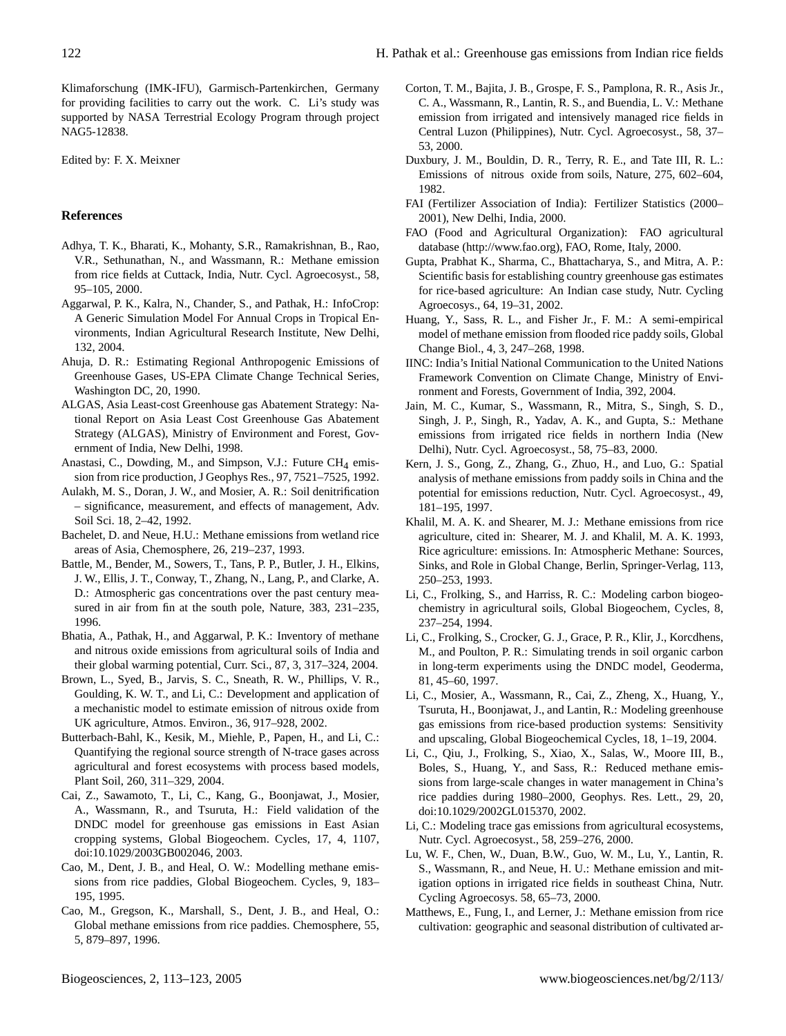Klimaforschung (IMK-IFU), Garmisch-Partenkirchen, Germany for providing facilities to carry out the work. C. Li's study was supported by NASA Terrestrial Ecology Program through project NAG5-12838.

Edited by: F. X. Meixner

## **References**

- Adhya, T. K., Bharati, K., Mohanty, S.R., Ramakrishnan, B., Rao, V.R., Sethunathan, N., and Wassmann, R.: Methane emission from rice fields at Cuttack, India, Nutr. Cycl. Agroecosyst., 58, 95–105, 2000.
- Aggarwal, P. K., Kalra, N., Chander, S., and Pathak, H.: InfoCrop: A Generic Simulation Model For Annual Crops in Tropical Environments, Indian Agricultural Research Institute, New Delhi, 132, 2004.
- Ahuja, D. R.: Estimating Regional Anthropogenic Emissions of Greenhouse Gases, US-EPA Climate Change Technical Series, Washington DC, 20, 1990.
- ALGAS, Asia Least-cost Greenhouse gas Abatement Strategy: National Report on Asia Least Cost Greenhouse Gas Abatement Strategy (ALGAS), Ministry of Environment and Forest, Government of India, New Delhi, 1998.
- Anastasi, C., Dowding, M., and Simpson, V.J.: Future CH<sub>4</sub> emission from rice production, J Geophys Res., 97, 7521–7525, 1992.
- Aulakh, M. S., Doran, J. W., and Mosier, A. R.: Soil denitrification – significance, measurement, and effects of management, Adv. Soil Sci. 18, 2–42, 1992.
- Bachelet, D. and Neue, H.U.: Methane emissions from wetland rice areas of Asia, Chemosphere, 26, 219–237, 1993.
- Battle, M., Bender, M., Sowers, T., Tans, P. P., Butler, J. H., Elkins, J. W., Ellis, J. T., Conway, T., Zhang, N., Lang, P., and Clarke, A. D.: Atmospheric gas concentrations over the past century measured in air from fin at the south pole, Nature, 383, 231–235, 1996.
- Bhatia, A., Pathak, H., and Aggarwal, P. K.: Inventory of methane and nitrous oxide emissions from agricultural soils of India and their global warming potential, Curr. Sci., 87, 3, 317–324, 2004.
- Brown, L., Syed, B., Jarvis, S. C., Sneath, R. W., Phillips, V. R., Goulding, K. W. T., and Li, C.: Development and application of a mechanistic model to estimate emission of nitrous oxide from UK agriculture, Atmos. Environ., 36, 917–928, 2002.
- Butterbach-Bahl, K., Kesik, M., Miehle, P., Papen, H., and Li, C.: Quantifying the regional source strength of N-trace gases across agricultural and forest ecosystems with process based models, Plant Soil, 260, 311–329, 2004.
- Cai, Z., Sawamoto, T., Li, C., Kang, G., Boonjawat, J., Mosier, A., Wassmann, R., and Tsuruta, H.: Field validation of the DNDC model for greenhouse gas emissions in East Asian cropping systems, Global Biogeochem. Cycles, 17, 4, 1107, doi:10.1029/2003GB002046, 2003.
- Cao, M., Dent, J. B., and Heal, O. W.: Modelling methane emissions from rice paddies, Global Biogeochem. Cycles, 9, 183– 195, 1995.
- Cao, M., Gregson, K., Marshall, S., Dent, J. B., and Heal, O.: Global methane emissions from rice paddies. Chemosphere, 55, 5, 879–897, 1996.
- Corton, T. M., Bajita, J. B., Grospe, F. S., Pamplona, R. R., Asis Jr., C. A., Wassmann, R., Lantin, R. S., and Buendia, L. V.: Methane emission from irrigated and intensively managed rice fields in Central Luzon (Philippines), Nutr. Cycl. Agroecosyst., 58, 37– 53, 2000.
- Duxbury, J. M., Bouldin, D. R., Terry, R. E., and Tate III, R. L.: Emissions of nitrous oxide from soils, Nature, 275, 602–604, 1982.
- FAI (Fertilizer Association of India): Fertilizer Statistics (2000– 2001), New Delhi, India, 2000.
- FAO (Food and Agricultural Organization): FAO agricultural database [\(http://www.fao.org\)](http://www.fao.org), FAO, Rome, Italy, 2000.
- Gupta, Prabhat K., Sharma, C., Bhattacharya, S., and Mitra, A. P.: Scientific basis for establishing country greenhouse gas estimates for rice-based agriculture: An Indian case study, Nutr. Cycling Agroecosys., 64, 19–31, 2002.
- Huang, Y., Sass, R. L., and Fisher Jr., F. M.: A semi-empirical model of methane emission from flooded rice paddy soils, Global Change Biol., 4, 3, 247–268, 1998.
- IINC: India's Initial National Communication to the United Nations Framework Convention on Climate Change, Ministry of Environment and Forests, Government of India, 392, 2004.
- Jain, M. C., Kumar, S., Wassmann, R., Mitra, S., Singh, S. D., Singh, J. P., Singh, R., Yadav, A. K., and Gupta, S.: Methane emissions from irrigated rice fields in northern India (New Delhi), Nutr. Cycl. Agroecosyst., 58, 75–83, 2000.
- Kern, J. S., Gong, Z., Zhang, G., Zhuo, H., and Luo, G.: Spatial analysis of methane emissions from paddy soils in China and the potential for emissions reduction, Nutr. Cycl. Agroecosyst., 49, 181–195, 1997.
- Khalil, M. A. K. and Shearer, M. J.: Methane emissions from rice agriculture, cited in: Shearer, M. J. and Khalil, M. A. K. 1993, Rice agriculture: emissions. In: Atmospheric Methane: Sources, Sinks, and Role in Global Change, Berlin, Springer-Verlag, 113, 250–253, 1993.
- Li, C., Frolking, S., and Harriss, R. C.: Modeling carbon biogeochemistry in agricultural soils, Global Biogeochem, Cycles, 8, 237–254, 1994.
- Li, C., Frolking, S., Crocker, G. J., Grace, P. R., Klir, J., Korcdhens, M., and Poulton, P. R.: Simulating trends in soil organic carbon in long-term experiments using the DNDC model, Geoderma, 81, 45–60, 1997.
- Li, C., Mosier, A., Wassmann, R., Cai, Z., Zheng, X., Huang, Y., Tsuruta, H., Boonjawat, J., and Lantin, R.: Modeling greenhouse gas emissions from rice-based production systems: Sensitivity and upscaling, Global Biogeochemical Cycles, 18, 1–19, 2004.
- Li, C., Qiu, J., Frolking, S., Xiao, X., Salas, W., Moore III, B., Boles, S., Huang, Y., and Sass, R.: Reduced methane emissions from large-scale changes in water management in China's rice paddies during 1980–2000, Geophys. Res. Lett., 29, 20, doi:10.1029/2002GL015370, 2002.
- Li, C.: Modeling trace gas emissions from agricultural ecosystems, Nutr. Cycl. Agroecosyst., 58, 259–276, 2000.
- Lu, W. F., Chen, W., Duan, B.W., Guo, W. M., Lu, Y., Lantin, R. S., Wassmann, R., and Neue, H. U.: Methane emission and mitigation options in irrigated rice fields in southeast China, Nutr. Cycling Agroecosys. 58, 65–73, 2000.
- Matthews, E., Fung, I., and Lerner, J.: Methane emission from rice cultivation: geographic and seasonal distribution of cultivated ar-